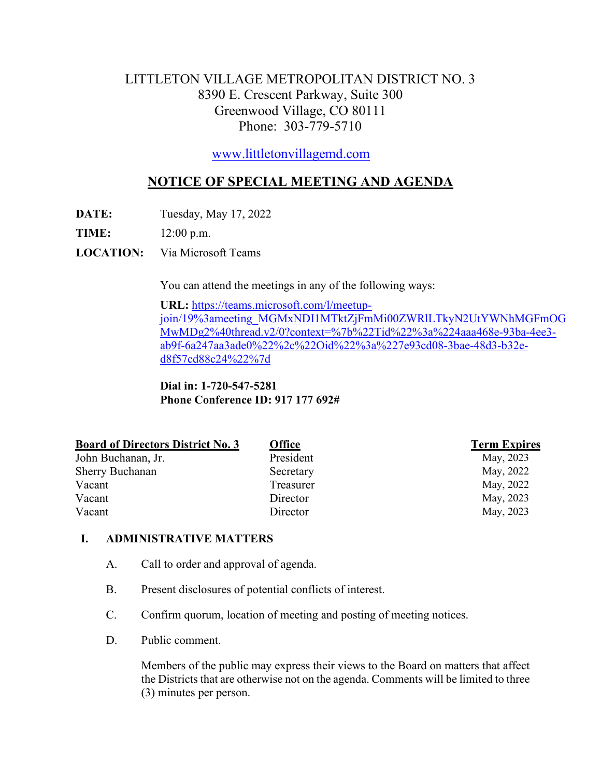# LITTLETON VILLAGE METROPOLITAN DISTRICT NO. 3 8390 E. Crescent Parkway, Suite 300 Greenwood Village, CO 80111 Phone: 303-779-5710

[www.littletonvillagemd.com](http://www.littletonvillagemd.com/)

# **NOTICE OF SPECIAL MEETING AND AGENDA**

**DATE:** Tuesday, May 17, 2022

**TIME:** 12:00 p.m.

**LOCATION:** Via Microsoft Teams

You can attend the meetings in any of the following ways:

**URL:** [https://teams.microsoft.com/l/meetup](https://teams.microsoft.com/l/meetup-join/19%3ameeting_MGMxNDI1MTktZjFmMi00ZWRlLTkyN2UtYWNhMGFmOGMwMDg2%40thread.v2/0?context=%7b%22Tid%22%3a%224aaa468e-93ba-4ee3-ab9f-6a247aa3ade0%22%2c%22Oid%22%3a%227e93cd08-3bae-48d3-b32e-d8f57cd88c24%22%7d)[join/19%3ameeting\\_MGMxNDI1MTktZjFmMi00ZWRlLTkyN2UtYWNhMGFmOG](https://teams.microsoft.com/l/meetup-join/19%3ameeting_MGMxNDI1MTktZjFmMi00ZWRlLTkyN2UtYWNhMGFmOGMwMDg2%40thread.v2/0?context=%7b%22Tid%22%3a%224aaa468e-93ba-4ee3-ab9f-6a247aa3ade0%22%2c%22Oid%22%3a%227e93cd08-3bae-48d3-b32e-d8f57cd88c24%22%7d) [MwMDg2%40thread.v2/0?context=%7b%22Tid%22%3a%224aaa468e-93ba-4ee3](https://teams.microsoft.com/l/meetup-join/19%3ameeting_MGMxNDI1MTktZjFmMi00ZWRlLTkyN2UtYWNhMGFmOGMwMDg2%40thread.v2/0?context=%7b%22Tid%22%3a%224aaa468e-93ba-4ee3-ab9f-6a247aa3ade0%22%2c%22Oid%22%3a%227e93cd08-3bae-48d3-b32e-d8f57cd88c24%22%7d) [ab9f-6a247aa3ade0%22%2c%22Oid%22%3a%227e93cd08-3bae-48d3-b32e](https://teams.microsoft.com/l/meetup-join/19%3ameeting_MGMxNDI1MTktZjFmMi00ZWRlLTkyN2UtYWNhMGFmOGMwMDg2%40thread.v2/0?context=%7b%22Tid%22%3a%224aaa468e-93ba-4ee3-ab9f-6a247aa3ade0%22%2c%22Oid%22%3a%227e93cd08-3bae-48d3-b32e-d8f57cd88c24%22%7d)[d8f57cd88c24%22%7d](https://teams.microsoft.com/l/meetup-join/19%3ameeting_MGMxNDI1MTktZjFmMi00ZWRlLTkyN2UtYWNhMGFmOGMwMDg2%40thread.v2/0?context=%7b%22Tid%22%3a%224aaa468e-93ba-4ee3-ab9f-6a247aa3ade0%22%2c%22Oid%22%3a%227e93cd08-3bae-48d3-b32e-d8f57cd88c24%22%7d)

**Dial in: 1-720-547-5281 Phone Conference ID: 917 177 692#**

| <b>Board of Directors District No. 3</b> | <b>Office</b> | <b>Term Expires</b> |
|------------------------------------------|---------------|---------------------|
| John Buchanan, Jr.                       | President     | May, 2023           |
| <b>Sherry Buchanan</b>                   | Secretary     | May, 2022           |
| Vacant                                   | Treasurer     | May, 2022           |
| Vacant                                   | Director      | May, 2023           |
| Vacant                                   | Director      | May, 2023           |

## **I. ADMINISTRATIVE MATTERS**

- A. Call to order and approval of agenda.
- B. Present disclosures of potential conflicts of interest.
- C. Confirm quorum, location of meeting and posting of meeting notices.
- D. Public comment.

Members of the public may express their views to the Board on matters that affect the Districts that are otherwise not on the agenda. Comments will be limited to three (3) minutes per person.